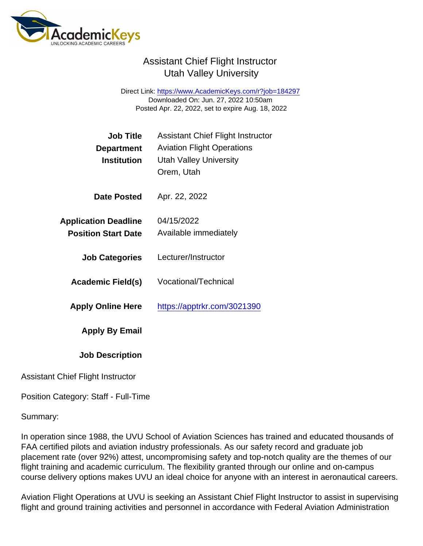Direct Link: <https://www.AcademicKeys.com/r?job=184297> Downloaded On: Jun. 27, 2022 10:50am Posted Apr. 22, 2022, set to expire Aug. 18, 2022

| <b>Job Title</b>                         | <b>Assistant Chief Flight Instructor</b>                           |
|------------------------------------------|--------------------------------------------------------------------|
| Department<br>Institution                | <b>Aviation Flight Operations</b><br><b>Utah Valley University</b> |
|                                          | Orem, Utah                                                         |
| Date Posted                              | Apr. 22, 2022                                                      |
| <b>Application Deadline</b>              | 04/15/2022                                                         |
| <b>Position Start Date</b>               | Available immediately                                              |
| <b>Job Categories</b>                    | Lecturer/Instructor                                                |
| Academic Field(s)                        | <b>Vocational/Technical</b>                                        |
| <b>Apply Online Here</b>                 | https://apptrkr.com/3021390                                        |
| Apply By Email                           |                                                                    |
| <b>Job Description</b>                   |                                                                    |
| <b>Assistant Chief Flight Instructor</b> |                                                                    |

Position Category: Staff - Full-Time

Summary:

In operation since 1988, the UVU School of Aviation Sciences has trained and educated thousands of FAA certified pilots and aviation industry professionals. As our safety record and graduate job placement rate (over 92%) attest, uncompromising safety and top-notch quality are the themes of our flight training and academic curriculum. The flexibility granted through our online and on-campus course delivery options makes UVU an ideal choice for anyone with an interest in aeronautical careers.

Aviation Flight Operations at UVU is seeking an Assistant Chief Flight Instructor to assist in supervising flight and ground training activities and personnel in accordance with Federal Aviation Administration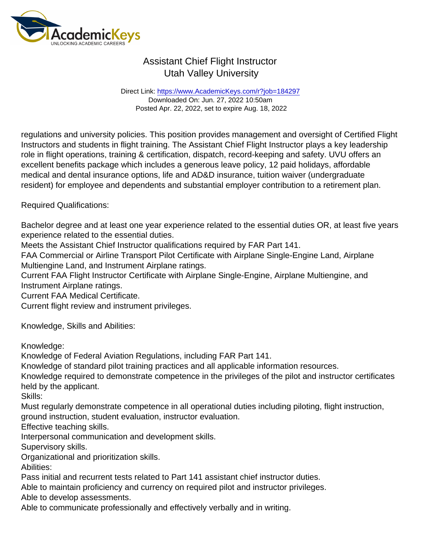Direct Link: <https://www.AcademicKeys.com/r?job=184297> Downloaded On: Jun. 27, 2022 10:50am Posted Apr. 22, 2022, set to expire Aug. 18, 2022

regulations and university policies. This position provides management and oversight of Certified Flight Instructors and students in flight training. The Assistant Chief Flight Instructor plays a key leadership role in flight operations, training & certification, dispatch, record-keeping and safety. UVU offers an excellent benefits package which includes a generous leave policy, 12 paid holidays, affordable medical and dental insurance options, life and AD&D insurance, tuition waiver (undergraduate resident) for employee and dependents and substantial employer contribution to a retirement plan.

Required Qualifications:

Bachelor degree and at least one year experience related to the essential duties OR, at least five years experience related to the essential duties.

Meets the Assistant Chief Instructor qualifications required by FAR Part 141.

FAA Commercial or Airline Transport Pilot Certificate with Airplane Single-Engine Land, Airplane Multiengine Land, and Instrument Airplane ratings.

Current FAA Flight Instructor Certificate with Airplane Single-Engine, Airplane Multiengine, and Instrument Airplane ratings.

Current FAA Medical Certificate.

Current flight review and instrument privileges.

Knowledge, Skills and Abilities:

Knowledge:

Knowledge of Federal Aviation Regulations, including FAR Part 141.

Knowledge of standard pilot training practices and all applicable information resources.

Knowledge required to demonstrate competence in the privileges of the pilot and instructor certificates held by the applicant.

Skills:

Must regularly demonstrate competence in all operational duties including piloting, flight instruction, ground instruction, student evaluation, instructor evaluation.

Effective teaching skills.

Interpersonal communication and development skills.

Supervisory skills.

Organizational and prioritization skills.

Abilities:

Pass initial and recurrent tests related to Part 141 assistant chief instructor duties.

Able to maintain proficiency and currency on required pilot and instructor privileges.

Able to develop assessments.

Able to communicate professionally and effectively verbally and in writing.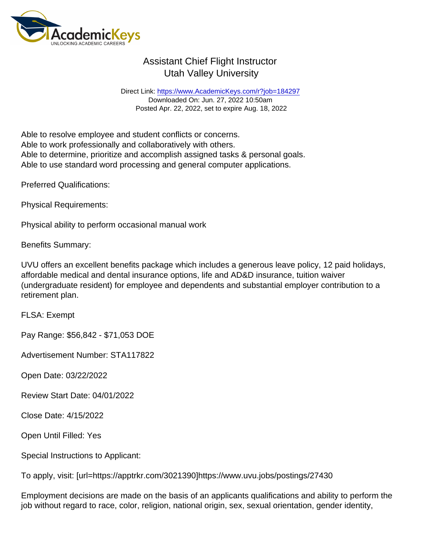Direct Link: <https://www.AcademicKeys.com/r?job=184297> Downloaded On: Jun. 27, 2022 10:50am Posted Apr. 22, 2022, set to expire Aug. 18, 2022

Able to resolve employee and student conflicts or concerns. Able to work professionally and collaboratively with others. Able to determine, prioritize and accomplish assigned tasks & personal goals. Able to use standard word processing and general computer applications.

Preferred Qualifications:

Physical Requirements:

Physical ability to perform occasional manual work

Benefits Summary:

UVU offers an excellent benefits package which includes a generous leave policy, 12 paid holidays, affordable medical and dental insurance options, life and AD&D insurance, tuition waiver (undergraduate resident) for employee and dependents and substantial employer contribution to a retirement plan.

FLSA: Exempt

Pay Range: \$56,842 - \$71,053 DOE

Advertisement Number: STA117822

Open Date: 03/22/2022

Review Start Date: 04/01/2022

Close Date: 4/15/2022

Open Until Filled: Yes

Special Instructions to Applicant:

To apply, visit: [url=https://apptrkr.com/3021390]https://www.uvu.jobs/postings/27430

Employment decisions are made on the basis of an applicants qualifications and ability to perform the job without regard to race, color, religion, national origin, sex, sexual orientation, gender identity,